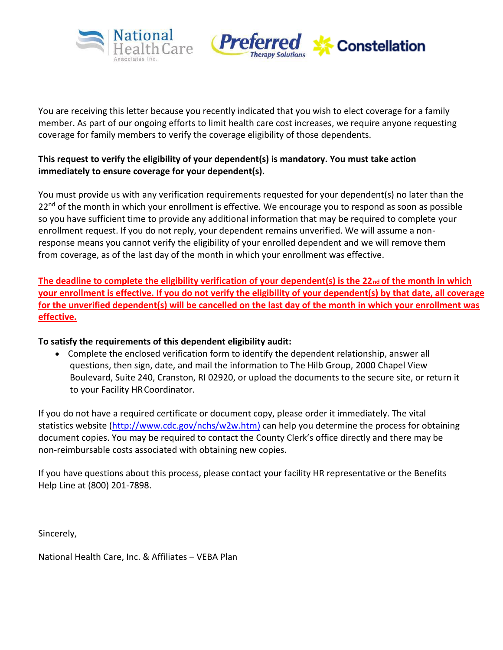



You are receiving this letter because you recently indicated that you wish to elect coverage for a family member. As part of our ongoing efforts to limit health care cost increases, we require anyone requesting coverage for family members to verify the coverage eligibility of those dependents.

#### **This request to verify the eligibility of your dependent(s) is mandatory. You must take action immediately to ensure coverage for your dependent(s).**

You must provide us with any verification requirements requested for your dependent(s) no later than the  $22<sup>nd</sup>$  of the month in which your enrollment is effective. We encourage you to respond as soon as possible so you have sufficient time to provide any additional information that may be required to complete your enrollment request. If you do not reply, your dependent remains unverified. We will assume a nonresponse means you cannot verify the eligibility of your enrolled dependent and we will remove them from coverage, as of the last day of the month in which your enrollment was effective.

The deadline to complete the eligibility verification of your dependent(s) is the 22<sub>nd</sub> of the month in which **your enrollment is effective. If you do not verify the eligibility of your dependent(s) by that date, all coverage for the unverified dependent(s) will be cancelled on the last day of the month in which your enrollment was effective.**

#### **To satisfy the requirements of this dependent eligibility audit:**

• Complete the enclosed verification form to identify the dependent relationship, answer all questions, then sign, date, and mail the information to The Hilb Group, 2000 Chapel View Boulevard, Suite 240, Cranston, RI 02920, or upload the documents to the secure site, or return it to your Facility HRCoordinator.

If you do not have a required certificate or document copy, please order it immediately. The vital statistics website [\(http://www.cdc.gov/nchs/w2w.htm\)](http://www.cdc.gov/nchs/w2w.htm) can help you determine the process for obtaining document copies. You may be required to contact the County Clerk's office directly and there may be non-reimbursable costs associated with obtaining new copies.

If you have questions about this process, please contact your facility HR representative or the Benefits Help Line at (800) 201-7898.

Sincerely,

National Health Care, Inc. & Affiliates – VEBA Plan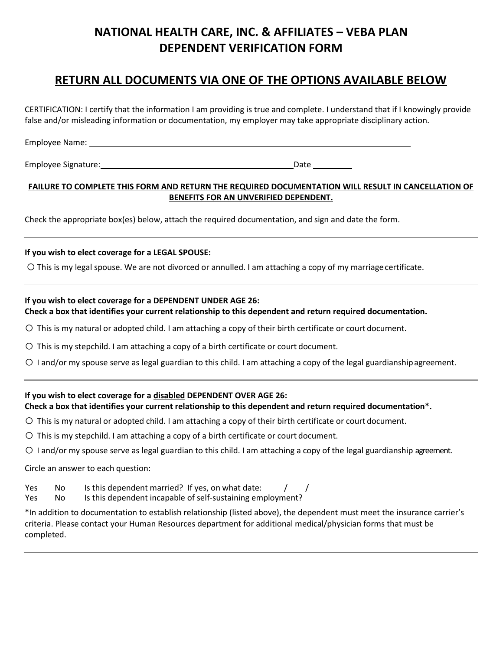## **NATIONAL HEALTH CARE, INC. & AFFILIATES – VEBA PLAN DEPENDENT VERIFICATION FORM**

### **RETURN ALL DOCUMENTS VIA ONE OF THE OPTIONS AVAILABLE BELOW**

CERTIFICATION: I certify that the information I am providing is true and complete. I understand that if I knowingly provide false and/or misleading information or documentation, my employer may take appropriate disciplinary action.

Employee Name:

Employee Signature: Date

#### **FAILURE TO COMPLETE THIS FORM AND RETURN THE REQUIRED DOCUMENTATION WILL RESULT IN CANCELLATION OF BENEFITS FOR AN UNVERIFIED DEPENDENT.**

Check the appropriate box(es) below, attach the required documentation, and sign and date the form.

#### **If you wish to elect coverage for a LEGAL SPOUSE:**

O This is my legal spouse. We are not divorced or annulled. I am attaching a copy of my marriage certificate.

#### **If you wish to elect coverage for a DEPENDENT UNDER AGE 26: Check a box that identifies your current relationship to this dependent and return required documentation.**

- o This is my natural or adopted child. I am attaching a copy of their birth certificate or court document.
- $\bigcirc$  This is my stepchild. I am attaching a copy of a birth certificate or court document.
- $\circ$  I and/or my spouse serve as legal guardian to this child. I am attaching a copy of the legal guardianshipagreement.

# **If you wish to elect coverage for a disabled DEPENDENT OVER AGE 26:**

### **Check a box that identifies your current relationship to this dependent and return required documentation\*.**

- $\circ$  This is my natural or adopted child. I am attaching a copy of their birth certificate or court document.
- $\circ$  This is my stepchild. I am attaching a copy of a birth certificate or court document.
- $\circ$  I and/or my spouse serve as legal guardian to this child. I am attaching a copy of the legal guardianship agreement.

Circle an answer to each question:

Yes No Is this dependent married? If yes, on what date: \_\_\_\_\_\_/\_\_\_\_\_/ Yes No Is this dependent incapable of self-sustaining employment?

\*In addition to documentation to establish relationship (listed above), the dependent must meet the insurance carrier's criteria. Please contact your Human Resources department for additional medical/physician forms that must be completed.